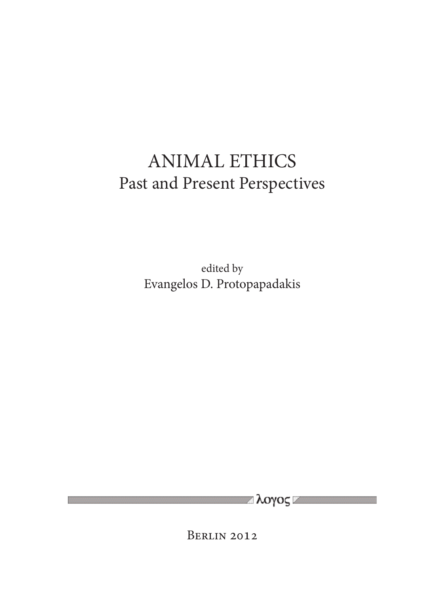# ANIMAL ETHICS Past and Present Perspectives

edited by Evangelos D. Protopapadakis

Berlin 2012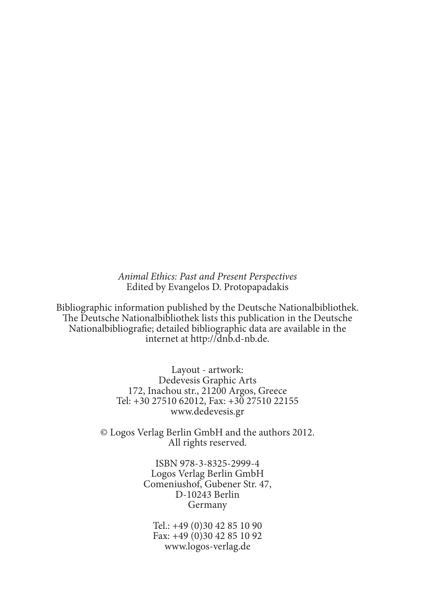*Animal Ethics: Past and Present Perspectives* Edited by Evangelos D. Protopapadakis

Bibliographic information published by the Deutsche Nationalbibliothek. The Deutsche Nationalbibliothek lists this publication in the Deutsche Nationalbibliografie; detailed bibliographic data are available in the internet at http://dnb.d-nb.de.

> Layout - artwork: Dedevesis Graphic Arts 172, Inachou str., 21200 Argos, Greece Tel: +30 27510 62012, Fax: +30 27510 22155 www.dedevesis.gr

© Logos Verlag Berlin GmbH and the authors 2012. All rights reserved.

> ISBN 978-3-8325-2999-4 Logos Verlag Berlin GmbH Comeniushof, Gubener Str. 47, D-10243 Berlin Germany

Tel.: +49 (0)30 42 85 10 90 Fax: +49 (0)30 42 85 10 92 www.logos-verlag.de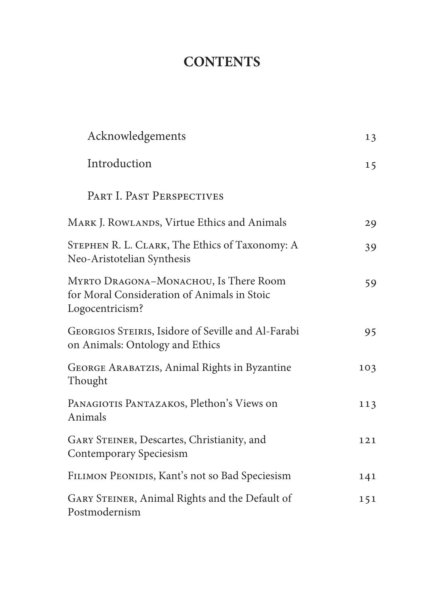## **CONTENTS**

| Acknowledgements                                                                                        | 13  |
|---------------------------------------------------------------------------------------------------------|-----|
| Introduction                                                                                            | 15  |
| PART I. PAST PERSPECTIVES                                                                               |     |
| MARK J. ROWLANDS, Virtue Ethics and Animals                                                             | 29  |
| STEPHEN R. L. CLARK, The Ethics of Taxonomy: A<br>Neo-Aristotelian Synthesis                            | 39  |
| MYRTO DRAGONA-MONACHOU, Is There Room<br>for Moral Consideration of Animals in Stoic<br>Logocentricism? | 59  |
| GEORGIOS STEIRIS, Isidore of Seville and Al-Farabi<br>on Animals: Ontology and Ethics                   | 95  |
| GEORGE ARABATZIS, Animal Rights in Byzantine<br>Thought                                                 | 103 |
| PANAGIOTIS PANTAZAKOS, Plethon's Views on<br>Animals                                                    | 113 |
| GARY STEINER, Descartes, Christianity, and<br>Contemporary Speciesism                                   | 121 |
| FILIMON PEONIDIS, Kant's not so Bad Speciesism                                                          | 141 |
| GARY STEINER, Animal Rights and the Default of<br>Postmodernism                                         | 151 |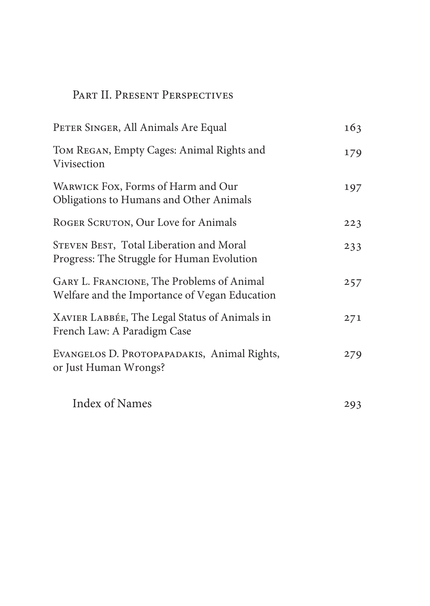## Part II. Present Perspectives

| PETER SINGER, All Animals Are Equal                                                        | 163 |
|--------------------------------------------------------------------------------------------|-----|
| Том REGAN, Empty Cages: Animal Rights and<br>Vivisection                                   | 179 |
| WARWICK FOX, Forms of Harm and Our<br>Obligations to Humans and Other Animals              | 197 |
| ROGER SCRUTON, Our Love for Animals                                                        | 223 |
| STEVEN BEST, Total Liberation and Moral<br>Progress: The Struggle for Human Evolution      | 233 |
| GARY L. FRANCIONE, The Problems of Animal<br>Welfare and the Importance of Vegan Education | 257 |
| XAVIER LABBÉE, The Legal Status of Animals in<br>French Law: A Paradigm Case               | 271 |
| EVANGELOS D. PROTOPAPADAKIS, Animal Rights,<br>or Just Human Wrongs?                       | 279 |
| Index of Names                                                                             | 293 |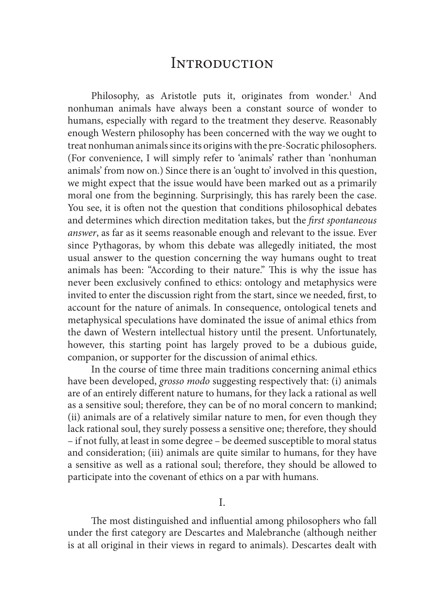Philosophy, as Aristotle puts it, originates from wonder.<sup>1</sup> And nonhuman animals have always been a constant source of wonder to humans, especially with regard to the treatment they deserve. Reasonably enough Western philosophy has been concerned with the way we ought to treat nonhuman animals since its origins with the pre-Socratic philosophers. (For convenience, I will simply refer to 'animals' rather than 'nonhuman animals' from now on.) Since there is an 'ought to' involved in this question, we might expect that the issue would have been marked out as a primarily moral one from the beginning. Surprisingly, this has rarely been the case. You see, it is often not the question that conditions philosophical debates and determines which direction meditation takes, but the *first spontaneous answer*, as far as it seems reasonable enough and relevant to the issue. Ever since Pythagoras, by whom this debate was allegedly initiated, the most usual answer to the question concerning the way humans ought to treat animals has been: "According to their nature." This is why the issue has never been exclusively confined to ethics: ontology and metaphysics were invited to enter the discussion right from the start, since we needed, first, to account for the nature of animals. In consequence, ontological tenets and metaphysical speculations have dominated the issue of animal ethics from the dawn of Western intellectual history until the present. Unfortunately, however, this starting point has largely proved to be a dubious guide, companion, or supporter for the discussion of animal ethics.

In the course of time three main traditions concerning animal ethics have been developed, *grosso modo* suggesting respectively that: (i) animals are of an entirely different nature to humans, for they lack a rational as well as a sensitive soul; therefore, they can be of no moral concern to mankind; (ii) animals are of a relatively similar nature to men, for even though they lack rational soul, they surely possess a sensitive one; therefore, they should – if not fully, at least in some degree – be deemed susceptible to moral status and consideration; (iii) animals are quite similar to humans, for they have a sensitive as well as a rational soul; therefore, they should be allowed to participate into the covenant of ethics on a par with humans.

I.

The most distinguished and influential among philosophers who fall under the first category are Descartes and Malebranche (although neither is at all original in their views in regard to animals). Descartes dealt with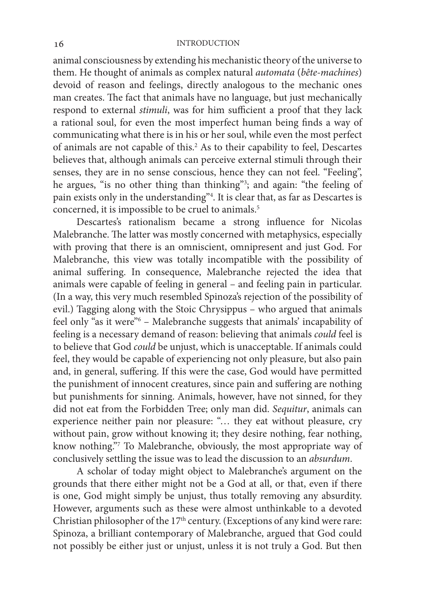animal consciousness by extending his mechanistic theory of the universe to them. He thought of animals as complex natural *automata* (*bête-machines*) devoid of reason and feelings, directly analogous to the mechanic ones man creates. The fact that animals have no language, but just mechanically respond to external *stimuli*, was for him sufficient a proof that they lack a rational soul, for even the most imperfect human being finds a way of communicating what there is in his or her soul, while even the most perfect of animals are not capable of this.<sup>2</sup> As to their capability to feel, Descartes believes that, although animals can perceive external stimuli through their senses, they are in no sense conscious, hence they can not feel. "Feeling", he argues, "is no other thing than thinking"3 ; and again: "the feeling of pain exists only in the understanding"4 . It is clear that, as far as Descartes is concerned, it is impossible to be cruel to animals.<sup>5</sup>

Descartes's rationalism became a strong influence for Nicolas Malebranche. The latter was mostly concerned with metaphysics, especially with proving that there is an omniscient, omnipresent and just God. For Malebranche, this view was totally incompatible with the possibility of animal suffering. In consequence, Malebranche rejected the idea that animals were capable of feeling in general – and feeling pain in particular. (In a way, this very much resembled Spinoza's rejection of the possibility of evil.) Tagging along with the Stoic Chrysippus – who argued that animals feel only "as it were"6 – Malebranche suggests that animals' incapability of feeling is a necessary demand of reason: believing that animals *could* feel is to believe that God *could* be unjust, which is unacceptable. If animals could feel, they would be capable of experiencing not only pleasure, but also pain and, in general, suffering. If this were the case, God would have permitted the punishment of innocent creatures, since pain and suffering are nothing but punishments for sinning. Animals, however, have not sinned, for they did not eat from the Forbidden Tree; only man did. *Sequitur*, animals can experience neither pain nor pleasure: "… they eat without pleasure, cry without pain, grow without knowing it; they desire nothing, fear nothing, know nothing."7 To Malebranche, obviously, the most appropriate way of conclusively settling the issue was to lead the discussion to an *absurdum*.

A scholar of today might object to Malebranche's argument on the grounds that there either might not be a God at all, or that, even if there is one, God might simply be unjust, thus totally removing any absurdity. However, arguments such as these were almost unthinkable to a devoted Christian philosopher of the  $17<sup>th</sup>$  century. (Exceptions of any kind were rare: Spinoza, a brilliant contemporary of Malebranche, argued that God could not possibly be either just or unjust, unless it is not truly a God. But then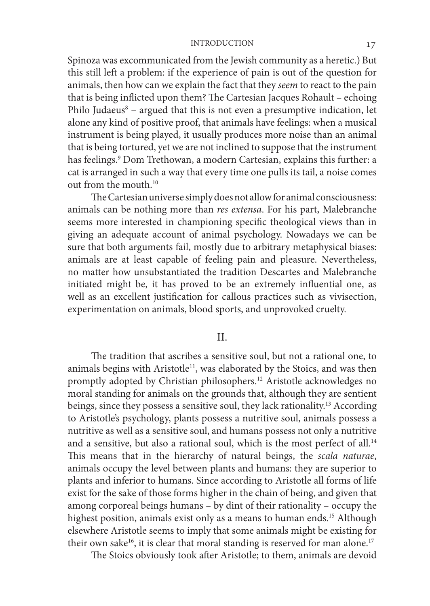Spinoza was excommunicated from the Jewish community as a heretic.) But this still left a problem: if the experience of pain is out of the question for animals, then how can we explain the fact that they *seem* to react to the pain that is being inflicted upon them? The Cartesian Jacques Rohault – echoing Philo Judaeus<sup>8</sup> – argued that this is not even a presumptive indication, let alone any kind of positive proof, that animals have feelings: when a musical instrument is being played, it usually produces more noise than an animal that is being tortured, yet we are not inclined to suppose that the instrument has feelings.9 Dom Trethowan, a modern Cartesian, explains this further: a cat is arranged in such a way that every time one pulls its tail, a noise comes out from the mouth.<sup>10</sup>

The Cartesian universe simply does not allow for animal consciousness: animals can be nothing more than *res extensa*. For his part, Malebranche seems more interested in championing specific theological views than in giving an adequate account of animal psychology. Nowadays we can be sure that both arguments fail, mostly due to arbitrary metaphysical biases: animals are at least capable of feeling pain and pleasure. Nevertheless, no matter how unsubstantiated the tradition Descartes and Malebranche initiated might be, it has proved to be an extremely influential one, as well as an excellent justification for callous practices such as vivisection, experimentation on animals, blood sports, and unprovoked cruelty.

II.

The tradition that ascribes a sensitive soul, but not a rational one, to animals begins with Aristotle<sup>11</sup>, was elaborated by the Stoics, and was then promptly adopted by Christian philosophers.12 Aristotle acknowledges no moral standing for animals on the grounds that, although they are sentient beings, since they possess a sensitive soul, they lack rationality.13 According to Aristotle's psychology, plants possess a nutritive soul, animals possess a nutritive as well as a sensitive soul, and humans possess not only a nutritive and a sensitive, but also a rational soul, which is the most perfect of all.<sup>14</sup> This means that in the hierarchy of natural beings, the *scala naturae*, animals occupy the level between plants and humans: they are superior to plants and inferior to humans. Since according to Aristotle all forms of life exist for the sake of those forms higher in the chain of being, and given that among corporeal beings humans – by dint of their rationality – occupy the highest position, animals exist only as a means to human ends.<sup>15</sup> Although elsewhere Aristotle seems to imply that some animals might be existing for their own sake<sup>16</sup>, it is clear that moral standing is reserved for man alone.<sup>17</sup>

The Stoics obviously took after Aristotle; to them, animals are devoid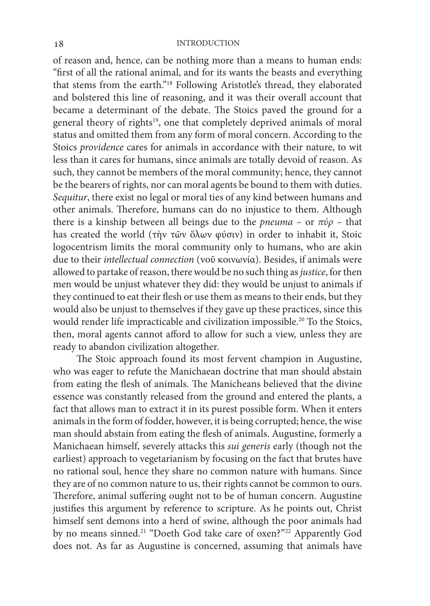of reason and, hence, can be nothing more than a means to human ends: "first of all the rational animal, and for its wants the beasts and everything that stems from the earth."18 Following Aristotle's thread, they elaborated and bolstered this line of reasoning, and it was their overall account that became a determinant of the debate. The Stoics paved the ground for a general theory of rights<sup>19</sup>, one that completely deprived animals of moral status and omitted them from any form of moral concern. According to the Stoics *providence* cares for animals in accordance with their nature, to wit less than it cares for humans, since animals are totally devoid of reason. As such, they cannot be members of the moral community; hence, they cannot be the bearers of rights, nor can moral agents be bound to them with duties. *Sequitur*, there exist no legal or moral ties of any kind between humans and other animals. Therefore, humans can do no injustice to them. Although there is a kinship between all beings due to the *pneuma* – or *πύρ* – that has created the world (τὴν τῶν ὅλων φύσιν) in order to inhabit it, Stoic logocentrism limits the moral community only to humans, who are akin due to their *intellectual connection* (νοῦ κοινωνία). Besides, if animals were allowed to partake of reason, there would be no such thing as *justice*, for then men would be unjust whatever they did: they would be unjust to animals if they continued to eat their flesh or use them as means to their ends, but they would also be unjust to themselves if they gave up these practices, since this would render life impracticable and civilization impossible.<sup>20</sup> To the Stoics, then, moral agents cannot afford to allow for such a view, unless they are ready to abandon civilization altogether.

The Stoic approach found its most fervent champion in Augustine, who was eager to refute the Manichaean doctrine that man should abstain from eating the flesh of animals. The Manicheans believed that the divine essence was constantly released from the ground and entered the plants, a fact that allows man to extract it in its purest possible form. When it enters animals in the form of fodder, however, it is being corrupted; hence, the wise man should abstain from eating the flesh of animals. Augustine, formerly a Manichaean himself, severely attacks this *sui generis* early (though not the earliest) approach to vegetarianism by focusing on the fact that brutes have no rational soul, hence they share no common nature with humans. Since they are of no common nature to us, their rights cannot be common to ours. Therefore, animal suffering ought not to be of human concern. Augustine justifies this argument by reference to scripture. As he points out, Christ himself sent demons into a herd of swine, although the poor animals had by no means sinned.<sup>21</sup> "Doeth God take care of oxen?"<sup>22</sup> Apparently God does not. As far as Augustine is concerned, assuming that animals have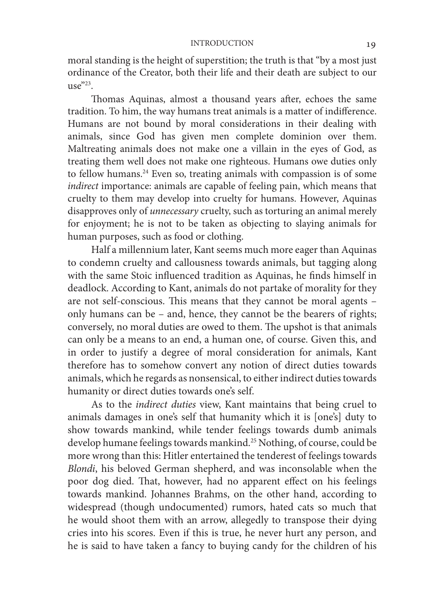moral standing is the height of superstition; the truth is that "by a most just ordinance of the Creator, both their life and their death are subject to our  $\mathbb{R}e^{v_{23}}$ 

Thomas Aquinas, almost a thousand years after, echoes the same tradition. To him, the way humans treat animals is a matter of indifference. Humans are not bound by moral considerations in their dealing with animals, since God has given men complete dominion over them. Maltreating animals does not make one a villain in the eyes of God, as treating them well does not make one righteous. Humans owe duties only to fellow humans.<sup>24</sup> Even so, treating animals with compassion is of some *indirect* importance: animals are capable of feeling pain, which means that cruelty to them may develop into cruelty for humans. However, Aquinas disapproves only of *unnecessary* cruelty, such as torturing an animal merely for enjoyment; he is not to be taken as objecting to slaying animals for human purposes, such as food or clothing.

Half a millennium later, Kant seems much more eager than Aquinas to condemn cruelty and callousness towards animals, but tagging along with the same Stoic influenced tradition as Aquinas, he finds himself in deadlock. According to Kant, animals do not partake of morality for they are not self-conscious. This means that they cannot be moral agents – only humans can be – and, hence, they cannot be the bearers of rights; conversely, no moral duties are owed to them. The upshot is that animals can only be a means to an end, a human one, of course. Given this, and in order to justify a degree of moral consideration for animals, Kant therefore has to somehow convert any notion of direct duties towards animals, which he regards as nonsensical, to either indirect duties towards humanity or direct duties towards one's self.

As to the *indirect duties* view, Kant maintains that being cruel to animals damages in one's self that humanity which it is [one's] duty to show towards mankind, while tender feelings towards dumb animals develop humane feelings towards mankind.<sup>25</sup> Nothing, of course, could be more wrong than this: Hitler entertained the tenderest of feelings towards *Blondi*, his beloved German shepherd, and was inconsolable when the poor dog died. That, however, had no apparent effect on his feelings towards mankind. Johannes Brahms, on the other hand, according to widespread (though undocumented) rumors, hated cats so much that he would shoot them with an arrow, allegedly to transpose their dying cries into his scores. Even if this is true, he never hurt any person, and he is said to have taken a fancy to buying candy for the children of his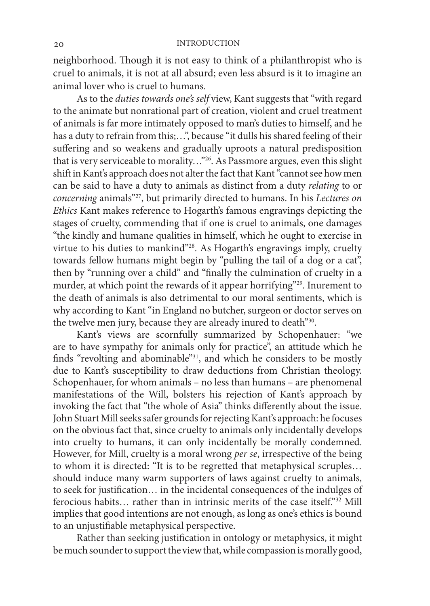neighborhood. Though it is not easy to think of a philanthropist who is cruel to animals, it is not at all absurd; even less absurd is it to imagine an animal lover who is cruel to humans.

As to the *duties towards one's self* view, Kant suggests that "with regard to the animate but nonrational part of creation, violent and cruel treatment of animals is far more intimately opposed to man's duties to himself, and he has a duty to refrain from this;...", because "it dulls his shared feeling of their suffering and so weakens and gradually uproots a natural predisposition that is very serviceable to morality…"26. As Passmore argues, even this slight shift in Kant's approach does not alter the fact that Kant "cannot see how men can be said to have a duty to animals as distinct from a duty *relating* to or *concerning* animals"27, but primarily directed to humans. In his *Lectures on Ethics* Kant makes reference to Hogarth's famous engravings depicting the stages of cruelty, commending that if one is cruel to animals, one damages "the kindly and humane qualities in himself, which he ought to exercise in virtue to his duties to mankind"28. As Hogarth's engravings imply, cruelty towards fellow humans might begin by "pulling the tail of a dog or a cat", then by "running over a child" and "finally the culmination of cruelty in a murder, at which point the rewards of it appear horrifying"29. Inurement to the death of animals is also detrimental to our moral sentiments, which is why according to Kant "in England no butcher, surgeon or doctor serves on the twelve men jury, because they are already inured to death"30.

Kant's views are scornfully summarized by Schopenhauer: "we are to have sympathy for animals only for practice", an attitude which he finds "revolting and abominable"31, and which he considers to be mostly due to Kant's susceptibility to draw deductions from Christian theology. Schopenhauer, for whom animals – no less than humans – are phenomenal manifestations of the Will, bolsters his rejection of Kant's approach by invoking the fact that "the whole of Asia" thinks differently about the issue. John Stuart Mill seeks safer grounds for rejecting Kant's approach: he focuses on the obvious fact that, since cruelty to animals only incidentally develops into cruelty to humans, it can only incidentally be morally condemned. However, for Mill, cruelty is a moral wrong *per se*, irrespective of the being to whom it is directed: "It is to be regretted that metaphysical scruples… should induce many warm supporters of laws against cruelty to animals, to seek for justification… in the incidental consequences of the indulges of ferocious habits... rather than in intrinsic merits of the case itself." $32$  Mill implies that good intentions are not enough, as long as one's ethics is bound to an unjustifiable metaphysical perspective.

Rather than seeking justification in ontology or metaphysics, it might be much sounder to support the view that, while compassion is morally good,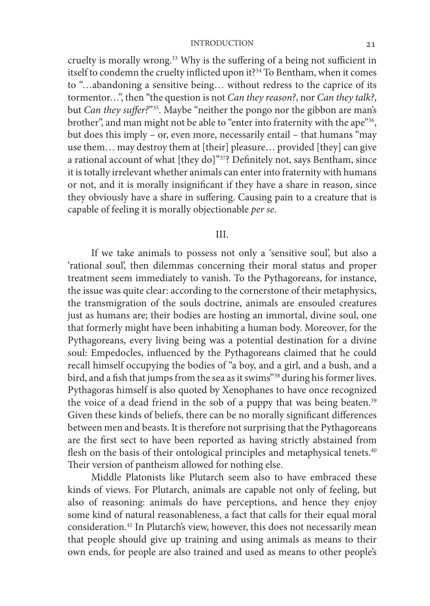cruelty is morally wrong.<sup>33</sup> Why is the suffering of a being not sufficient in itself to condemn the cruelty inflicted upon it?<sup>34</sup> To Bentham, when it comes to "…abandoning a sensitive being… without redress to the caprice of its tormentor…", then "the question is not *Can they reason?*, nor *Can they talk?*, but *Can they suffer?*"35. Maybe "neither the pongo nor the gibbon are man's brother", and man might not be able to "enter into fraternity with the ape"36, but does this imply – or, even more, necessarily entail – that humans "may use them… may destroy them at [their] pleasure… provided [they] can give a rational account of what [they do]"37? Definitely not, says Bentham, since it is totally irrelevant whether animals can enter into fraternity with humans or not, and it is morally insignificant if they have a share in reason, since they obviously have a share in suffering. Causing pain to a creature that is capable of feeling it is morally objectionable *per se*.

#### III.

If we take animals to possess not only a 'sensitive soul', but also a 'rational soul', then dilemmas concerning their moral status and proper treatment seem immediately to vanish. To the Pythagoreans, for instance, the issue was quite clear: according to the cornerstone of their metaphysics, the transmigration of the souls doctrine, animals are ensouled creatures just as humans are; their bodies are hosting an immortal, divine soul, one that formerly might have been inhabiting a human body. Moreover, for the Pythagoreans, every living being was a potential destination for a divine soul: Empedocles, influenced by the Pythagoreans claimed that he could recall himself occupying the bodies of "a boy, and a girl, and a bush, and a bird, and a fish that jumps from the sea as it swims"38 during his former lives. Pythagoras himself is also quoted by Xenophanes to have once recognized the voice of a dead friend in the sob of a puppy that was being beaten.<sup>39</sup> Given these kinds of beliefs, there can be no morally significant differences between men and beasts. It is therefore not surprising that the Pythagoreans are the first sect to have been reported as having strictly abstained from flesh on the basis of their ontological principles and metaphysical tenets.<sup>40</sup> Their version of pantheism allowed for nothing else.

Middle Platonists like Plutarch seem also to have embraced these kinds of views. For Plutarch, animals are capable not only of feeling, but also of reasoning: animals do have perceptions, and hence they enjoy some kind of natural reasonableness, a fact that calls for their equal moral consideration.41 In Plutarch's view, however, this does not necessarily mean that people should give up training and using animals as means to their own ends, for people are also trained and used as means to other people's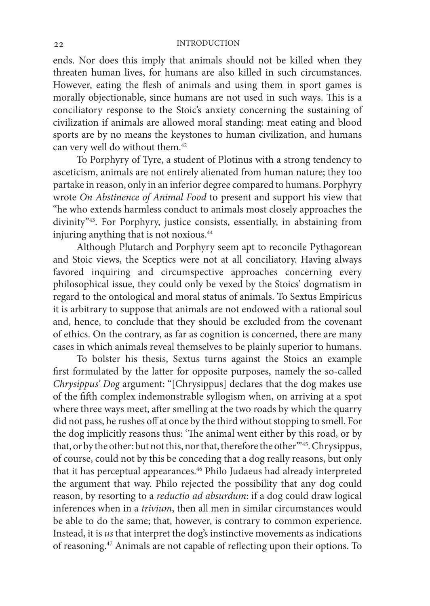ends. Nor does this imply that animals should not be killed when they threaten human lives, for humans are also killed in such circumstances. However, eating the flesh of animals and using them in sport games is morally objectionable, since humans are not used in such ways. This is a conciliatory response to the Stoic's anxiety concerning the sustaining of civilization if animals are allowed moral standing: meat eating and blood sports are by no means the keystones to human civilization, and humans can very well do without them.<sup>42</sup>

To Porphyry of Tyre, a student of Plotinus with a strong tendency to asceticism, animals are not entirely alienated from human nature; they too partake in reason, only in an inferior degree compared to humans. Porphyry wrote *On Abstinence of Animal Food* to present and support his view that "he who extends harmless conduct to animals most closely approaches the divinity"43. For Porphyry, justice consists, essentially, in abstaining from injuring anything that is not noxious.44

Although Plutarch and Porphyry seem apt to reconcile Pythagorean and Stoic views, the Sceptics were not at all conciliatory. Having always favored inquiring and circumspective approaches concerning every philosophical issue, they could only be vexed by the Stoics' dogmatism in regard to the ontological and moral status of animals. To Sextus Empiricus it is arbitrary to suppose that animals are not endowed with a rational soul and, hence, to conclude that they should be excluded from the covenant of ethics. On the contrary, as far as cognition is concerned, there are many cases in which animals reveal themselves to be plainly superior to humans.

To bolster his thesis, Sextus turns against the Stoics an example first formulated by the latter for opposite purposes, namely the so-called *Chrysippus' Dog* argument: "[Chrysippus] declares that the dog makes use of the fifth complex indemonstrable syllogism when, on arriving at a spot where three ways meet, after smelling at the two roads by which the quarry did not pass, he rushes off at once by the third without stopping to smell. For the dog implicitly reasons thus: 'The animal went either by this road, or by that, or by the other: but not this, nor that, therefore the other"<sup>45</sup>. Chrysippus, of course, could not by this be conceding that a dog really reasons, but only that it has perceptual appearances.46 Philo Judaeus had already interpreted the argument that way. Philo rejected the possibility that any dog could reason, by resorting to a *reductio ad absurdum*: if a dog could draw logical inferences when in a *trivium*, then all men in similar circumstances would be able to do the same; that, however, is contrary to common experience. Instead, it is *us* that interpret the dog's instinctive movements as indications of reasoning.47 Animals are not capable of reflecting upon their options. To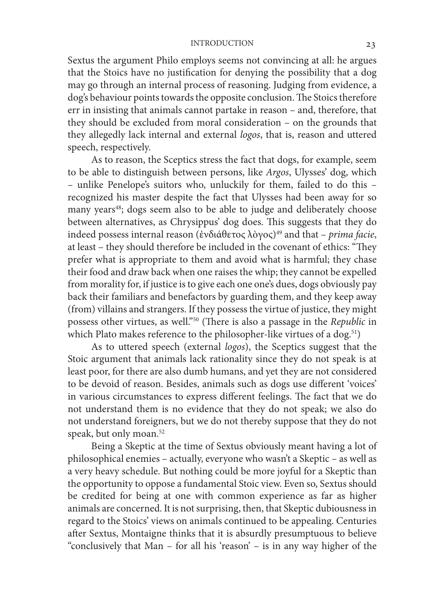Sextus the argument Philo employs seems not convincing at all: he argues that the Stoics have no justification for denying the possibility that a dog may go through an internal process of reasoning. Judging from evidence, a dog's behaviour points towards the opposite conclusion. The Stoics therefore err in insisting that animals cannot partake in reason – and, therefore, that they should be excluded from moral consideration – on the grounds that they allegedly lack internal and external *logos*, that is, reason and uttered speech, respectively.

As to reason, the Sceptics stress the fact that dogs, for example, seem to be able to distinguish between persons, like *Argos*, Ulysses' dog, which – unlike Penelope's suitors who, unluckily for them, failed to do this – recognized his master despite the fact that Ulysses had been away for so many years<sup>48</sup>; dogs seem also to be able to judge and deliberately choose between alternatives, as Chrysippus' dog does. This suggests that they do indeed possess internal reason (ἐνδιάθετος λὸγος)49 and that – *prima facie*, at least – they should therefore be included in the covenant of ethics: "They prefer what is appropriate to them and avoid what is harmful; they chase their food and draw back when one raises the whip; they cannot be expelled from morality for, if justice is to give each one one's dues, dogs obviously pay back their familiars and benefactors by guarding them, and they keep away (from) villains and strangers. If they possess the virtue of justice, they might possess other virtues, as well."50 (There is also a passage in the *Republic* in which Plato makes reference to the philosopher-like virtues of a dog.<sup>51</sup>)

As to uttered speech (external *logos*), the Sceptics suggest that the Stoic argument that animals lack rationality since they do not speak is at least poor, for there are also dumb humans, and yet they are not considered to be devoid of reason. Besides, animals such as dogs use different 'voices' in various circumstances to express different feelings. The fact that we do not understand them is no evidence that they do not speak; we also do not understand foreigners, but we do not thereby suppose that they do not speak, but only moan.<sup>52</sup>

Being a Skeptic at the time of Sextus obviously meant having a lot of philosophical enemies – actually, everyone who wasn't a Skeptic – as well as a very heavy schedule. But nothing could be more joyful for a Skeptic than the opportunity to oppose a fundamental Stoic view. Even so, Sextus should be credited for being at one with common experience as far as higher animals are concerned. It is not surprising, then, that Skeptic dubiousness in regard to the Stoics' views on animals continued to be appealing. Centuries after Sextus, Montaigne thinks that it is absurdly presumptuous to believe "conclusively that Man – for all his 'reason' – is in any way higher of the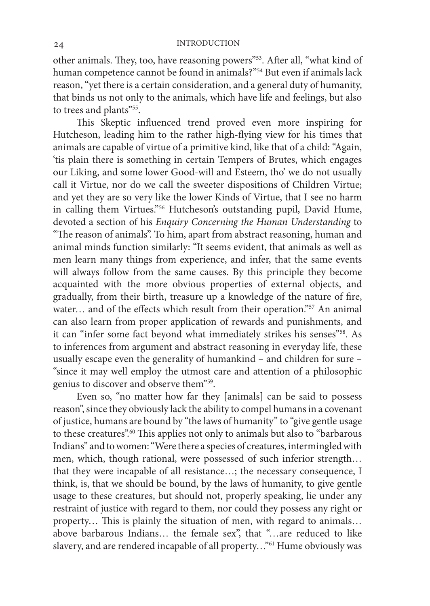other animals. They, too, have reasoning powers"53. After all, "what kind of human competence cannot be found in animals?"<sup>54</sup> But even if animals lack reason, "yet there is a certain consideration, and a general duty of humanity, that binds us not only to the animals, which have life and feelings, but also to trees and plants"55.

This Skeptic influenced trend proved even more inspiring for Hutcheson, leading him to the rather high-flying view for his times that animals are capable of virtue of a primitive kind, like that of a child: "Again, 'tis plain there is something in certain Tempers of Brutes, which engages our Liking, and some lower Good-will and Esteem, tho' we do not usually call it Virtue, nor do we call the sweeter dispositions of Children Virtue; and yet they are so very like the lower Kinds of Virtue, that I see no harm in calling them Virtues."56 Hutcheson's outstanding pupil, David Hume, devoted a section of his *Enquiry Concerning the Human Understanding* to "The reason of animals". To him, apart from abstract reasoning, human and animal minds function similarly: "It seems evident, that animals as well as men learn many things from experience, and infer, that the same events will always follow from the same causes. By this principle they become acquainted with the more obvious properties of external objects, and gradually, from their birth, treasure up a knowledge of the nature of fire, water... and of the effects which result from their operation."57 An animal can also learn from proper application of rewards and punishments, and it can "infer some fact beyond what immediately strikes his senses"58. As to inferences from argument and abstract reasoning in everyday life, these usually escape even the generality of humankind – and children for sure – "since it may well employ the utmost care and attention of a philosophic genius to discover and observe them"59.

Even so, "no matter how far they [animals] can be said to possess reason", since they obviously lack the ability to compel humans in a covenant of justice, humans are bound by "the laws of humanity" to "give gentle usage to these creatures".60 This applies not only to animals but also to "barbarous Indians" and to women: "Were there a species of creatures, intermingled with men, which, though rational, were possessed of such inferior strength… that they were incapable of all resistance…; the necessary consequence, I think, is, that we should be bound, by the laws of humanity, to give gentle usage to these creatures, but should not, properly speaking, lie under any restraint of justice with regard to them, nor could they possess any right or property… This is plainly the situation of men, with regard to animals… above barbarous Indians… the female sex", that "…are reduced to like slavery, and are rendered incapable of all property..."<sup>61</sup> Hume obviously was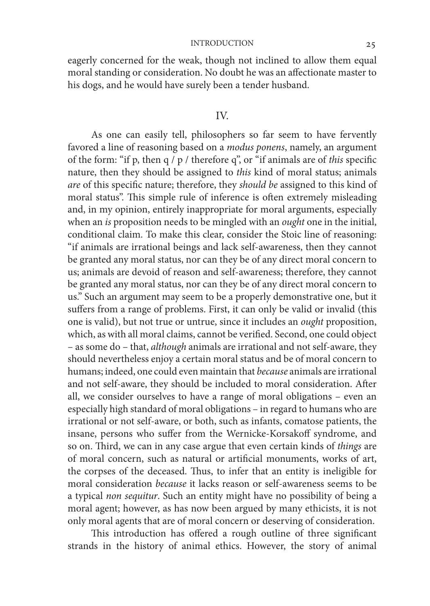eagerly concerned for the weak, though not inclined to allow them equal moral standing or consideration. No doubt he was an affectionate master to his dogs, and he would have surely been a tender husband.

#### IV.

As one can easily tell, philosophers so far seem to have fervently favored a line of reasoning based on a *modus ponens*, namely, an argument of the form: "if p, then q / p / therefore q", or "if animals are of *this* specific nature, then they should be assigned to *this* kind of moral status; animals *are* of this specific nature; therefore, they *should be* assigned to this kind of moral status". This simple rule of inference is often extremely misleading and, in my opinion, entirely inappropriate for moral arguments, especially when an *is* proposition needs to be mingled with an *ought* one in the initial, conditional claim. To make this clear, consider the Stoic line of reasoning: "if animals are irrational beings and lack self-awareness, then they cannot be granted any moral status, nor can they be of any direct moral concern to us; animals are devoid of reason and self-awareness; therefore, they cannot be granted any moral status, nor can they be of any direct moral concern to us." Such an argument may seem to be a properly demonstrative one, but it suffers from a range of problems. First, it can only be valid or invalid (this one is valid), but not true or untrue, since it includes an *ought* proposition, which, as with all moral claims, cannot be verified. Second, one could object – as some do – that, *although* animals are irrational and not self-aware, they should nevertheless enjoy a certain moral status and be of moral concern to humans; indeed, one could even maintain that *because* animals are irrational and not self-aware, they should be included to moral consideration. After all, we consider ourselves to have a range of moral obligations – even an especially high standard of moral obligations – in regard to humans who are irrational or not self-aware, or both, such as infants, comatose patients, the insane, persons who suffer from the Wernicke-Korsakoff syndrome, and so on. Third, we can in any case argue that even certain kinds of *things* are of moral concern, such as natural or artificial monuments, works of art, the corpses of the deceased. Thus, to infer that an entity is ineligible for moral consideration *because* it lacks reason or self-awareness seems to be a typical *non sequitur*. Such an entity might have no possibility of being a moral agent; however, as has now been argued by many ethicists, it is not only moral agents that are of moral concern or deserving of consideration.

This introduction has offered a rough outline of three significant strands in the history of animal ethics. However, the story of animal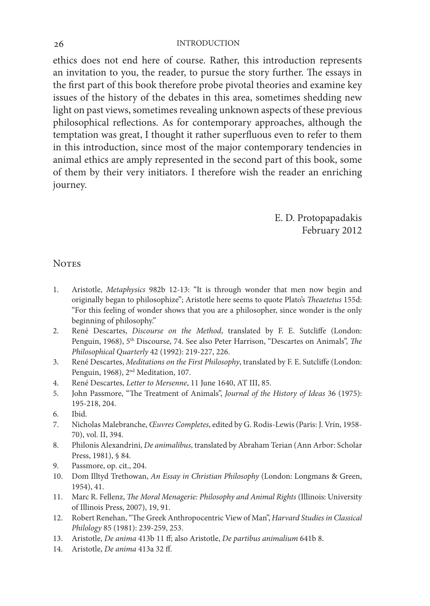ethics does not end here of course. Rather, this introduction represents an invitation to you, the reader, to pursue the story further. The essays in the first part of this book therefore probe pivotal theories and examine key issues of the history of the debates in this area, sometimes shedding new light on past views, sometimes revealing unknown aspects of these previous philosophical reflections. As for contemporary approaches, although the temptation was great, I thought it rather superfluous even to refer to them in this introduction, since most of the major contemporary tendencies in animal ethics are amply represented in the second part of this book, some of them by their very initiators. I therefore wish the reader an enriching journey.

> E. D. Protopapadakis February 2012

#### **NOTES**

- 1. Aristotle, *Metaphysics* 982b 12-13: "It is through wonder that men now begin and originally began to philosophize"; Aristotle here seems to quote Plato's *Theaetetus* 155d: "For this feeling of wonder shows that you are a philosopher, since wonder is the only beginning of philosophy."
- 2. René Descartes, *Discourse on the Method*, translated by F. E. Sutcliffe (London: Penguin, 1968), 5<sup>th</sup> Discourse, 74. See also Peter Harrison, "Descartes on Animals", *The Philosophical Quarterly* 42 (1992): 219-227, 226.
- 3. René Descartes, *Meditations on the First Philosophy*, translated by F. E. Sutcliffe (London: Penguin, 1968), 2<sup>nd</sup> Meditation, 107.
- 4. René Descartes, *Letter to Mersenne*, 11 June 1640, AT III, 85.
- 5. John Passmore, "The Treatment of Animals", *Journal of the History of Ideas* 36 (1975): 195-218, 204.
- 6. Ibid.
- 7. Nicholas Malebranche, *Œuvres Completes*, edited by G. Rodis-Lewis (Paris: J. Vrin, 1958- 70), vol. II, 394.
- 8. Philonis Alexandrini, *De animalibus*, translated by Abraham Terian (Ann Arbor: Scholar Press, 1981), § 84.
- 9. Passmore, op. cit., 204.
- 10. Dom Illtyd Trethowan, *An Essay in Christian Philosophy* (London: Longmans & Green, 1954), 41.
- 11. Marc R. Fellenz, *The Moral Menagerie: Philosophy and Animal Rights* (Illinois: University of Illinois Press, 2007), 19, 91.
- 12. Robert Renehan, "The Greek Anthropocentric View of Man", *Harvard Studies in Classical Philology* 85 (1981): 239-259, 253.
- 13. Aristotle, *De anima* 413b 11 ff; also Aristotle, *De partibus animalium* 641b 8.
- 14. Aristotle, *De anima* 413a 32 ff.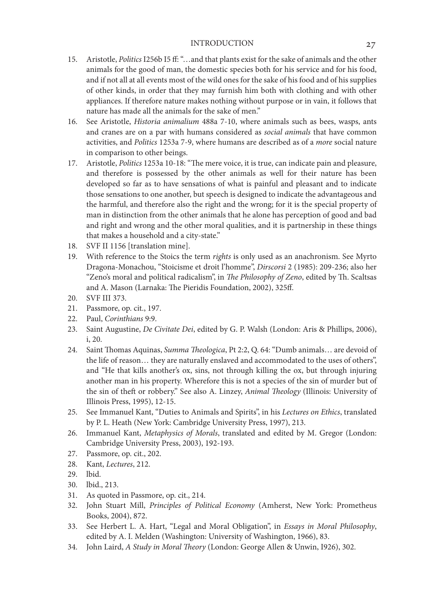- 15. Aristotle, *Politics* I256b I5 ff: "…and that plants exist for the sake of animals and the other animals for the good of man, the domestic species both for his service and for his food, and if not all at all events most of the wild ones for the sake of his food and of his supplies of other kinds, in order that they may furnish him both with clothing and with other appliances. If therefore nature makes nothing without purpose or in vain, it follows that nature has made all the animals for the sake of men."
- 16. See Aristotle, *Historia animalium* 488a 7-10, where animals such as bees, wasps, ants and cranes are on a par with humans considered as *social animals* that have common activities, and *Politics* 1253a 7-9, where humans are described as of a *more* social nature in comparison to other beings.
- 17. Aristotle, *Politics* 1253a 10-18: "The mere voice, it is true, can indicate pain and pleasure, and therefore is possessed by the other animals as well for their nature has been developed so far as to have sensations of what is painful and pleasant and to indicate those sensations to one another, but speech is designed to indicate the advantageous and the harmful, and therefore also the right and the wrong; for it is the special property of man in distinction from the other animals that he alone has perception of good and bad and right and wrong and the other moral qualities, and it is partnership in these things that makes a household and a city-state."
- 18. SVF II 1156 [translation mine].
- 19. With reference to the Stoics the term *rights* is only used as an anachronism. See Myrto Dragona-Monachou, "Stoicisme et droit l'homme", *Dirscorsi* 2 (1985): 209-236; also her "Zeno's moral and political radicalism", in *The Philosophy of Zeno*, edited by Th. Scaltsas and A. Mason (Larnaka: The Pieridis Foundation, 2002), 325ff.
- 20. SVF III 373.
- 21. Passmore, op. cit., 197.
- 22. Paul, *Corinthians* 9:9.
- 23. Saint Augustine, *De Civitate Dei*, edited by G. P. Walsh (London: Aris & Phillips, 2006), i, 20.
- 24. Saint Thomas Aquinas, *Summa Theologica*, Pt 2:2, Q. 64: "Dumb animals… are devoid of the life of reason… they are naturally enslaved and accommodated to the uses of others", and "He that kills another's ox, sins, not through killing the ox, but through injuring another man in his property. Wherefore this is not a species of the sin of murder but of the sin of theft or robbery." See also A. Linzey, *Animal Theology* (Illinois: University of Illinois Press, 1995), 12-15.
- 25. See Immanuel Kant, "Duties to Animals and Spirits", in his *Lectures on Ethics*, translated by P. L. Heath (New York: Cambridge University Press, 1997), 213.
- 26. Immanuel Kant, *Metaphysics of Morals*, translated and edited by M. Gregor (London: Cambridge University Press, 2003), 192-193.
- 27. Passmore, op. cit., 202.
- 28. Kant, *Lectures*, 212.
- 29. lbid.
- 30. lbid., 213.
- 31. As quoted in Passmore, op. cit., 214.
- 32. John Stuart Mill, *Principles of Political Economy* (Amherst, New York: Prometheus Books, 2004), 872.
- 33. See Herbert L. A. Hart, "Legal and Moral Obligation", in *Essays in Moral Philosophy*, edited by A. I. Melden (Washington: University of Washington, 1966), 83.
- 34. John Laird, *A Study in Moral Theory* (London: George Allen & Unwin, I926), 302.